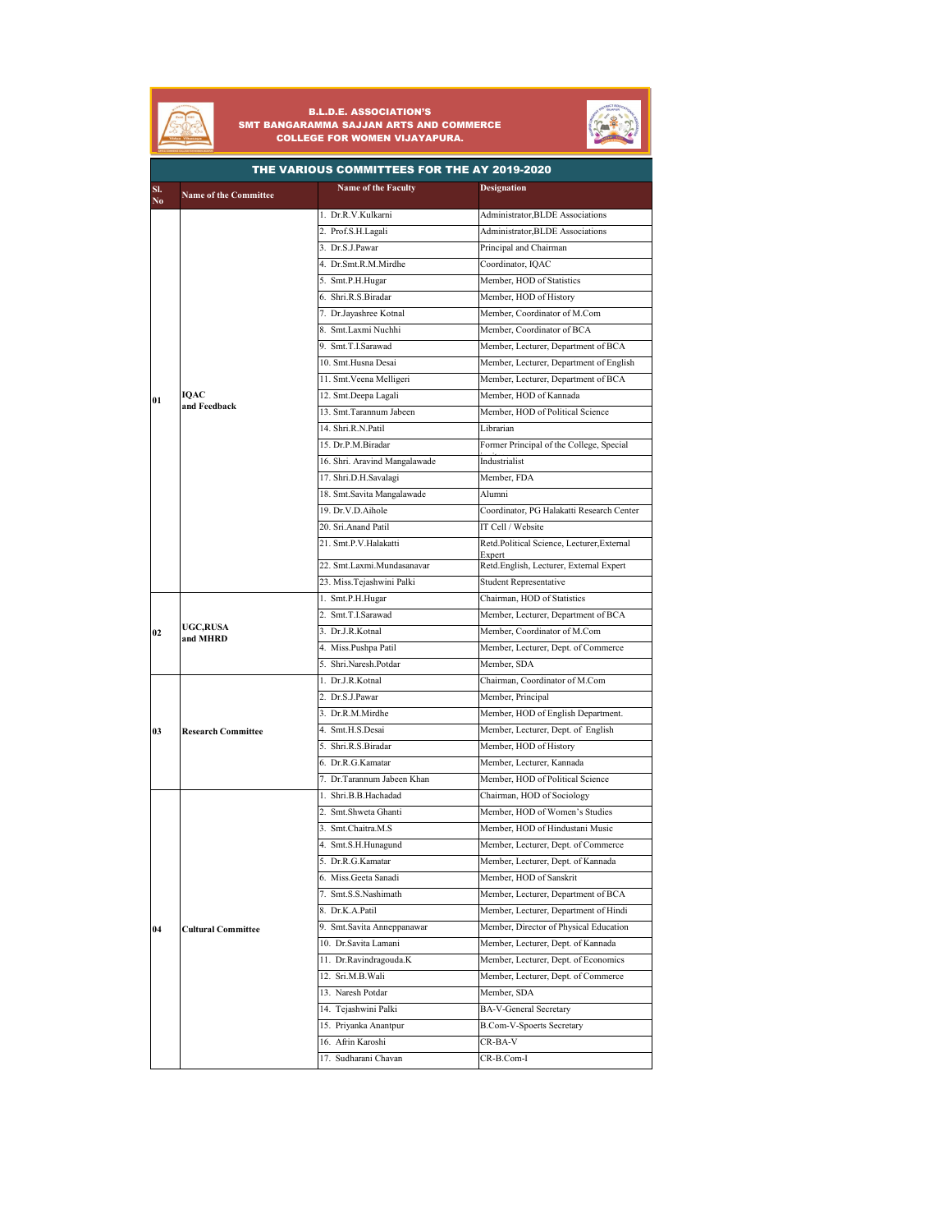

## B.L.D.E. ASSOCIATION'S SMT BANGARAMMA SAJJAN ARTS AND COMMERCE COLLEGE FOR WOMEN VIJAYAPURA.



| THE VARIOUS COMMITTEES FOR THE AY 2019-2020 |                              |                               |                                                   |
|---------------------------------------------|------------------------------|-------------------------------|---------------------------------------------------|
| SI.<br>$\mathbf{N}\mathbf{o}$               | <b>Name of the Committee</b> | Name of the Faculty           | <b>Designation</b>                                |
|                                             |                              | 1. Dr.R.V.Kulkarni            | Administrator, BLDE Associations                  |
|                                             |                              | 2. Prof.S.H.Lagali            | Administrator, BLDE Associations                  |
|                                             |                              | 3. Dr.S.J.Pawar               | Principal and Chairman                            |
|                                             |                              | 4. Dr.Smt.R.M.Mirdhe          | Coordinator, IQAC                                 |
|                                             |                              | 5. Smt.P.H.Hugar              | Member, HOD of Statistics                         |
|                                             |                              | 6. Shri.R.S.Biradar           | Member, HOD of History                            |
|                                             |                              | 7. Dr.Jayashree Kotnal        | Member, Coordinator of M.Com                      |
|                                             |                              | 8. Smt.Laxmi Nuchhi           | Member, Coordinator of BCA                        |
|                                             |                              | 9. Smt.T.I.Sarawad            | Member, Lecturer, Department of BCA               |
|                                             |                              | 10. Smt.Husna Desai           | Member, Lecturer, Department of English           |
|                                             |                              | 11. Smt. Veena Melligeri      | Member, Lecturer, Department of BCA               |
| 01                                          | IOAC                         | 12. Smt.Deepa Lagali          | Member, HOD of Kannada                            |
|                                             | and Feedback                 | 13. Smt.Tarannum Jabeen       | Member, HOD of Political Science                  |
|                                             |                              | 14. Shri.R.N.Patil            | Librarian                                         |
|                                             |                              | 15. Dr.P.M.Biradar            | Former Principal of the College, Special          |
|                                             |                              | 16. Shri. Aravind Mangalawade | Industrialist                                     |
|                                             |                              | 17. Shri.D.H.Savalagi         | Member, FDA                                       |
|                                             |                              | 18. Smt.Savita Mangalawade    | Alumni                                            |
|                                             |                              | 19. Dr.V.D.Aihole             | Coordinator, PG Halakatti Research Center         |
|                                             |                              | 20. Sri.Anand Patil           | IT Cell / Website                                 |
|                                             |                              | 21. Smt.P.V.Halakatti         | Retd.Political Science, Lecturer, External        |
|                                             |                              | 22. Smt.Laxmi.Mundasanavar    | Expert<br>Retd.English, Lecturer, External Expert |
|                                             |                              | 23. Miss. Tejashwini Palki    | <b>Student Representative</b>                     |
|                                             |                              | 1. Smt.P.H.Hugar              | Chairman, HOD of Statistics                       |
|                                             |                              | 2. Smt.T.I.Sarawad            | Member, Lecturer, Department of BCA               |
| 02                                          | <b>UGC,RUSA</b>              | 3. Dr.J.R.Kotnal              | Member, Coordinator of M.Com                      |
|                                             | and MHRD                     | 4. Miss.Pushpa Patil          | Member, Lecturer, Dept. of Commerce               |
|                                             |                              | 5. Shri.Naresh.Potdar         | Member, SDA                                       |
|                                             |                              | 1. Dr.J.R.Kotnal              | Chairman, Coordinator of M.Com                    |
|                                             |                              | 2. Dr.S.J.Pawar               | Member, Principal                                 |
|                                             | <b>Research Committee</b>    | 3. Dr.R.M.Mirdhe              | Member, HOD of English Department.                |
| 03                                          |                              | 4. Smt.H.S.Desai              | Member, Lecturer, Dept. of English                |
|                                             |                              | 5. Shri.R.S.Biradar           | Member, HOD of History                            |
|                                             |                              | 6. Dr.R.G.Kamatar             | Member, Lecturer, Kannada                         |
|                                             |                              | 7. Dr.Tarannum Jabeen Khan    | Member, HOD of Political Science                  |
|                                             |                              | 1. Shri.B.B.Hachadad          | Chairman, HOD of Sociology                        |
|                                             |                              | 2. Smt.Shweta Ghanti          | Member, HOD of Women's Studies                    |
|                                             |                              | 3. Smt.Chaitra.M.S            | Member, HOD of Hindustani Music                   |
|                                             |                              | 4. Smt.S.H.Hunagund           | Member, Lecturer, Dept. of Commerce               |
|                                             |                              | 5. Dr.R.G.Kamatar             | Member, Lecturer, Dept. of Kannada                |
|                                             | <b>Cultural Committee</b>    | 6. Miss.Geeta Sanadi          | Member, HOD of Sanskrit                           |
|                                             |                              | 7. Smt.S.S.Nashimath          | Member, Lecturer, Department of BCA               |
|                                             |                              | 8. Dr.K.A.Patil               | Member, Lecturer, Department of Hindi             |
| 04                                          |                              | 9. Smt. Savita Anneppanawar   | Member, Director of Physical Education            |
|                                             |                              | 10. Dr.Savita Lamani          | Member, Lecturer, Dept. of Kannada                |
|                                             |                              | 11. Dr.Ravindragouda.K        | Member, Lecturer, Dept. of Economics              |
|                                             |                              | 12. Sri.M.B.Wali              | Member, Lecturer, Dept. of Commerce               |
|                                             |                              | 13. Naresh Potdar             | Member, SDA                                       |
|                                             |                              | 14. Tejashwini Palki          | BA-V-General Secretary                            |
|                                             |                              | 15. Priyanka Anantpur         | <b>B.Com-V-Spoerts Secretary</b>                  |
|                                             |                              | 16. Afrin Karoshi             | CR-BA-V                                           |
|                                             |                              | 17. Sudharani Chavan          |                                                   |
|                                             |                              |                               | CR-B.Com-I                                        |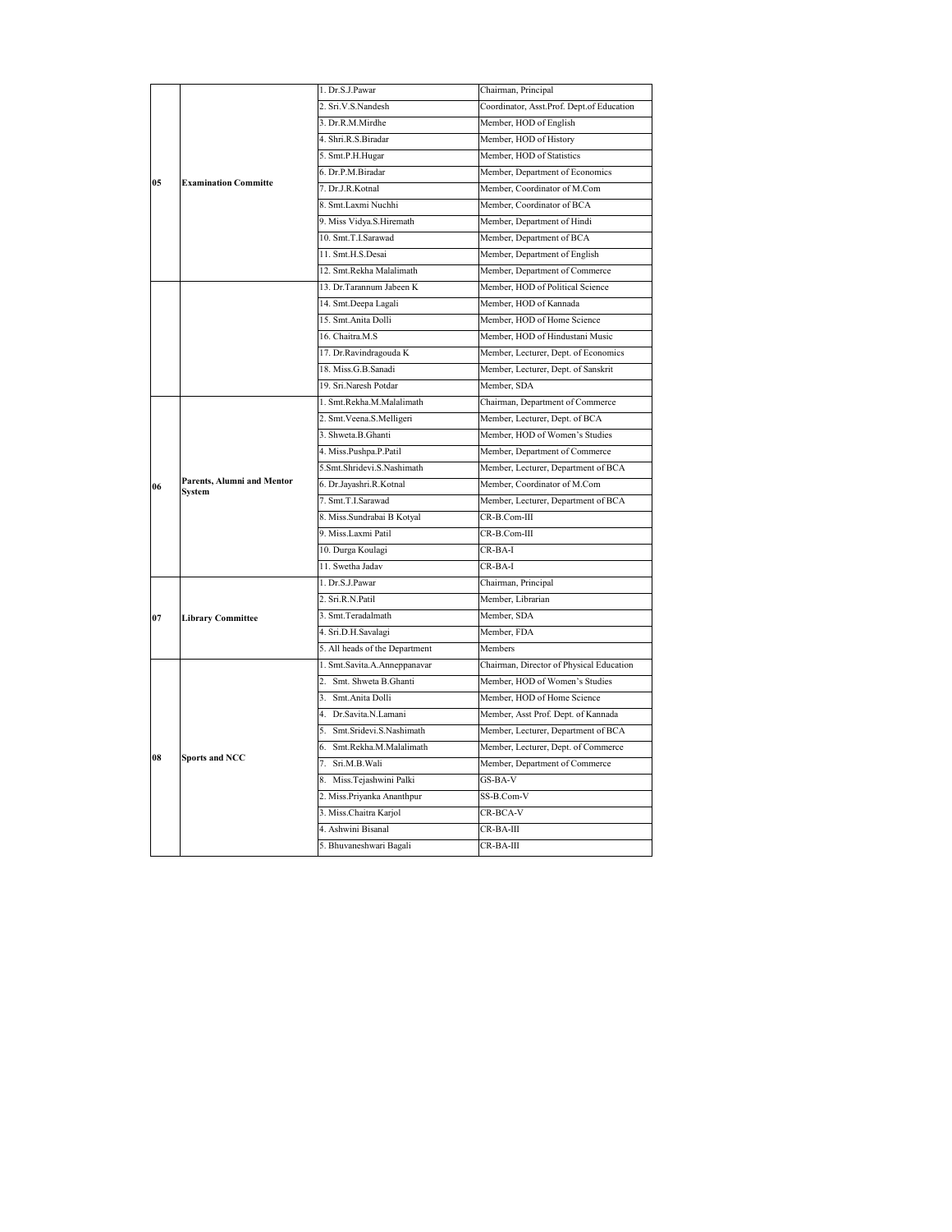|                | <b>Examination Committe</b>          | 1. Dr.S.J.Pawar                | Chairman, Principal                       |
|----------------|--------------------------------------|--------------------------------|-------------------------------------------|
|                |                                      | 2. Sri.V.S.Nandesh             | Coordinator, Asst.Prof. Dept.of Education |
|                |                                      | 3. Dr.R.M.Mirdhe               | Member, HOD of English                    |
|                |                                      | 4. Shri.R.S.Biradar            | Member, HOD of History                    |
|                |                                      | 5. Smt.P.H.Hugar               | Member, HOD of Statistics                 |
|                |                                      | 6. Dr.P.M.Biradar              | Member, Department of Economics           |
| 0 <sub>5</sub> |                                      | 7. Dr.J.R.Kotnal               | Member, Coordinator of M.Com              |
|                |                                      | 8. Smt.Laxmi Nuchhi            | Member, Coordinator of BCA                |
|                |                                      | 9. Miss Vidya.S.Hiremath       | Member, Department of Hindi               |
|                |                                      | 10. Smt.T.I.Sarawad            | Member, Department of BCA                 |
|                |                                      | 11. Smt.H.S.Desai              | Member, Department of English             |
|                |                                      | 12. Smt.Rekha Malalimath       | Member, Department of Commerce            |
|                |                                      | 13. Dr.Tarannum Jabeen K       | Member, HOD of Political Science          |
|                |                                      | 14. Smt.Deepa Lagali           | Member, HOD of Kannada                    |
|                |                                      | 15. Smt.Anita Dolli            | Member, HOD of Home Science               |
|                |                                      | 16. Chaitra, M.S.              | Member, HOD of Hindustani Music           |
|                |                                      | 17. Dr.Ravindragouda K         | Member, Lecturer, Dept. of Economics      |
|                |                                      | 18. Miss.G.B.Sanadi            | Member, Lecturer, Dept. of Sanskrit       |
|                |                                      | 19. Sri.Naresh Potdar          | Member, SDA                               |
|                |                                      | 1. Smt.Rekha.M.Malalimath      | Chairman, Department of Commerce          |
|                |                                      | 2. Smt. Veena. S. Melligeri    | Member, Lecturer, Dept. of BCA            |
|                |                                      | 3. Shweta B. Ghanti            | Member, HOD of Women's Studies            |
|                |                                      | 4. Miss.Pushpa.P.Patil         | Member, Department of Commerce            |
|                |                                      | 5.Smt.Shridevi.S.Nashimath     | Member, Lecturer, Department of BCA       |
| 06             | Parents, Alumni and Mentor<br>System | 6. Dr.Jayashri.R.Kotnal        | Member, Coordinator of M.Com              |
|                |                                      | 7. Smt.T.I.Sarawad             | Member, Lecturer, Department of BCA       |
|                |                                      | 8. Miss. Sundrabai B Kotyal    | CR-B.Com-III                              |
|                |                                      | 9. Miss.Laxmi Patil            | CR-B.Com-III                              |
|                |                                      | 10. Durga Koulagi              | $CR$ -BA-I                                |
|                |                                      | 11. Swetha Jadav               | $CR$ -BA-I                                |
|                | <b>Library Committee</b>             | 1. Dr.S.J.Pawar                | Chairman, Principal                       |
| 07             |                                      | 2. Sri.R.N.Patil               | Member, Librarian                         |
|                |                                      | 3. Smt.Teradalmath             | Member, SDA                               |
|                |                                      | 4. Sri.D.H.Savalagi            | Member, FDA                               |
|                |                                      | 5. All heads of the Department | Members                                   |
|                | <b>Sports and NCC</b>                | 1. Smt.Savita.A.Anneppanavar   | Chairman, Director of Physical Education  |
|                |                                      | 2. Smt. Shweta B.Ghanti        | Member, HOD of Women's Studies            |
|                |                                      | 3. Smt.Anita Dolli             | Member, HOD of Home Science               |
|                |                                      | 4. Dr. Savita N. Lamani        | Member, Asst Prof. Dept. of Kannada       |
|                |                                      | 5. Smt.Sridevi.S.Nashimath     | Member, Lecturer, Department of BCA       |
|                |                                      | 6. Smt.Rekha.M.Malalimath      | Member, Lecturer, Dept. of Commerce       |
| 08             |                                      | 7. Sri.M.B.Wali                | Member, Department of Commerce            |
|                |                                      | 8. Miss.Tejashwini Palki       | GS-BA-V                                   |
|                |                                      | 2. Miss.Priyanka Ananthpur     | SS-B.Com-V                                |
|                |                                      | 3. Miss.Chaitra Karjol         | CR-BCA-V                                  |
|                |                                      | 4. Ashwini Bisanal             | $CR$ -BA-III                              |
|                |                                      | 5. Bhuvaneshwari Bagali        | $CR$ -BA-III                              |
|                |                                      |                                |                                           |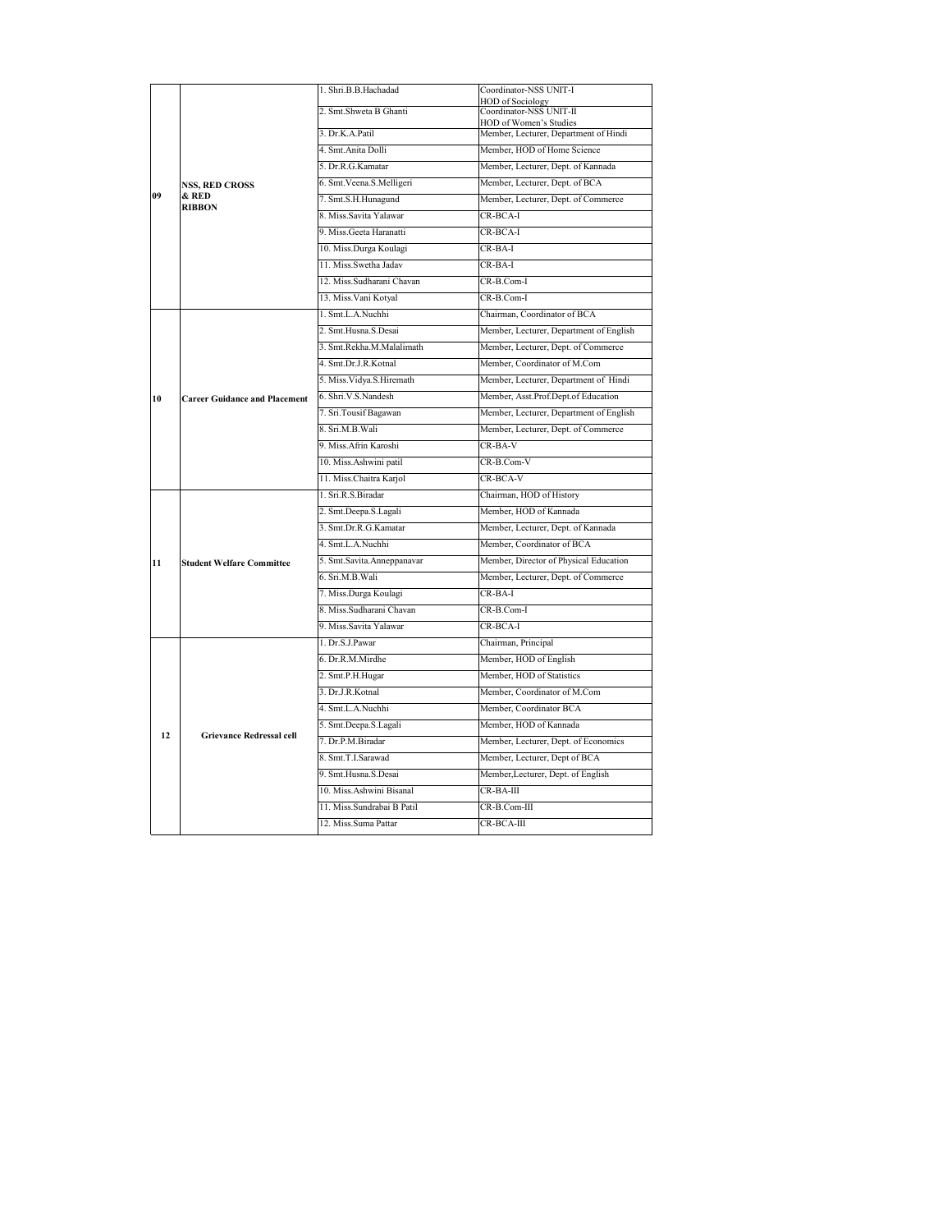|    |                                                 | 1. Shri.B.B.Hachadad        | Coordinator-NSS UNIT-I                             |
|----|-------------------------------------------------|-----------------------------|----------------------------------------------------|
|    |                                                 | 2. Smt.Shweta B Ghanti      | <b>HOD</b> of Sociology<br>Coordinator-NSS UNIT-II |
|    |                                                 |                             | HOD of Women's Studies                             |
|    |                                                 | 3. Dr.K.A.Patil             | Member, Lecturer, Department of Hindi              |
|    |                                                 | 4. Smt.Anita Dolli          | Member, HOD of Home Science                        |
|    |                                                 | 5. Dr.R.G.Kamatar           | Member, Lecturer, Dept. of Kannada                 |
|    | <b>NSS, RED CROSS</b><br>& RED<br><b>RIBBON</b> | 6. Smt. Veena. S. Melligeri | Member, Lecturer, Dept. of BCA                     |
| 09 |                                                 | 7. Smt.S.H.Hunagund         | Member, Lecturer, Dept. of Commerce                |
|    |                                                 | 8. Miss.Savita Yalawar      | CR-BCA-I                                           |
|    |                                                 | 9. Miss. Geeta Haranatti    | CR-BCA-I                                           |
|    |                                                 | 10. Miss.Durga Koulagi      | $CR$ -BA-I                                         |
|    |                                                 | 11. Miss.Swetha Jadav       | $CR$ -BA-I                                         |
|    |                                                 | 12. Miss.Sudharani Chavan   | $CR$ - $R$ . $Com-I$                               |
|    |                                                 | 13. Miss. Vani Kotyal       | $CR-B:Com-I$                                       |
|    |                                                 | 1. Smt.L.A.Nuchhi           | Chairman, Coordinator of BCA                       |
|    |                                                 | 2. Smt.Husna.S.Desai        | Member, Lecturer, Department of English            |
|    |                                                 | 3. Smt.Rekha.M.Malalimath   | Member, Lecturer, Dept. of Commerce                |
|    |                                                 | 4. Smt.Dr.J.R.Kotnal        | Member, Coordinator of M.Com                       |
|    |                                                 | 5. Miss. Vidya. S. Hiremath | Member, Lecturer, Department of Hindi              |
| 10 | <b>Career Guidance and Placement</b>            | 6. Shri.V.S.Nandesh         | Member, Asst.Prof.Dept.of Education                |
|    |                                                 | 7. Sri.Tousif Bagawan       | Member, Lecturer, Department of English            |
|    |                                                 | 8. Sri.M.B.Wali             | Member, Lecturer, Dept. of Commerce                |
|    |                                                 | 9. Miss.Afrin Karoshi       | $CR$ -BA-V                                         |
|    |                                                 | 10. Miss. Ashwini patil     | CR-B.Com-V                                         |
|    |                                                 |                             | CR-BCA-V                                           |
|    |                                                 | 11. Miss.Chaitra Karjol     |                                                    |
|    |                                                 | 1. Sri.R.S.Biradar          | Chairman, HOD of History                           |
|    |                                                 | 2. Smt.Deepa.S.Lagali       | Member, HOD of Kannada                             |
|    |                                                 | 3. Smt.Dr.R.G.Kamatar       | Member, Lecturer, Dept. of Kannada                 |
|    |                                                 | 4. Smt.L.A.Nuchhi           | Member, Coordinator of BCA                         |
| 11 | <b>Student Welfare Committee</b>                | 5. Smt.Savita.Anneppanavar  | Member, Director of Physical Education             |
|    |                                                 | 6. Sri.M.B.Wali             | Member, Lecturer, Dept. of Commerce                |
|    |                                                 | 7. Miss.Durga Koulagi       | $CR$ -BA-I                                         |
|    |                                                 | 8. Miss.Sudharani Chavan    | CR-B.Com-I                                         |
|    |                                                 | 9. Miss.Savita Yalawar      | CR-BCA-I                                           |
|    |                                                 | 1. Dr.S.J.Pawar             | Chairman, Principal                                |
|    |                                                 | 6. Dr.R.M.Mirdhe            | Member, HOD of English                             |
|    | <b>Grievance Redressal cell</b>                 | 2. Smt.P.H.Hugar            | Member, HOD of Statistics                          |
|    |                                                 | 3. Dr.J.R.Kotnal            | Member, Coordinator of M.Com                       |
|    |                                                 | 4. Smt.L.A.Nuchhi           | Member, Coordinator BCA                            |
|    |                                                 | 5. Smt.Deepa.S.Lagali       | Member, HOD of Kannada                             |
| 12 |                                                 | 7. Dr.P.M.Biradar           | Member, Lecturer, Dept. of Economics               |
|    |                                                 | 8. Smt.T.I.Sarawad          | Member, Lecturer, Dept of BCA                      |
|    |                                                 | 9. Smt.Husna.S.Desai        | Member, Lecturer, Dept. of English                 |
|    |                                                 | 10. Miss.Ashwini Bisanal    | $CR$ -BA-III                                       |
|    |                                                 | 11. Miss. Sundrabai B Patil | CR-B.Com-III                                       |
|    |                                                 | 12. Miss.Suma Pattar        | CR-BCA-III                                         |
|    |                                                 |                             |                                                    |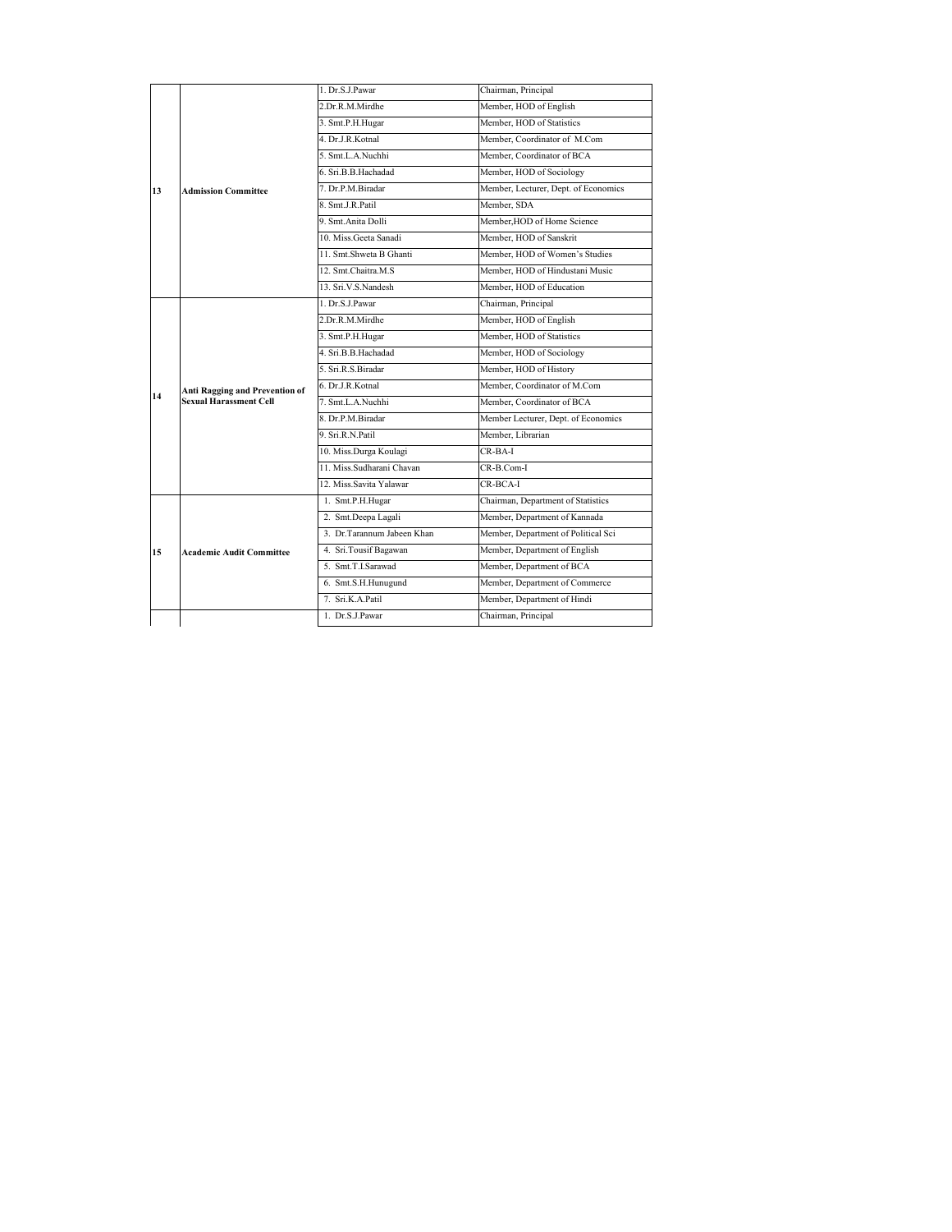|    | <b>Admission Committee</b>                                      | 1. Dr.S.J.Pawar            | Chairman, Principal                  |
|----|-----------------------------------------------------------------|----------------------------|--------------------------------------|
|    |                                                                 | 2.Dr.R.M.Mirdhe            | Member, HOD of English               |
|    |                                                                 | 3. Smt.P.H.Hugar           | Member, HOD of Statistics            |
|    |                                                                 | 4. Dr.J.R.Kotnal           | Member, Coordinator of M.Com         |
|    |                                                                 | 5. Smt.L.A.Nuchhi          | Member, Coordinator of BCA           |
|    |                                                                 | 6. Sri.B.B.Hachadad        | Member, HOD of Sociology             |
| 13 |                                                                 | 7. Dr.P.M.Biradar          | Member, Lecturer, Dept. of Economics |
|    |                                                                 | 8. Smt.J.R.Patil           | Member, SDA                          |
|    |                                                                 | 9. Smt. Anita Dolli        | Member, HOD of Home Science          |
|    |                                                                 | 10. Miss. Geeta Sanadi     | Member, HOD of Sanskrit              |
|    |                                                                 | 11. Smt.Shweta B Ghanti    | Member, HOD of Women's Studies       |
|    |                                                                 | 12. Smt.Chaitra.M.S.       | Member, HOD of Hindustani Music      |
|    |                                                                 | 13. Sri.V.S.Nandesh        | Member, HOD of Education             |
|    |                                                                 | 1. Dr.S.J.Pawar            | Chairman, Principal                  |
|    |                                                                 | 2.Dr.R.M.Mirdhe            | Member, HOD of English               |
|    |                                                                 | 3. Smt.P.H.Hugar           | Member, HOD of Statistics            |
|    |                                                                 | 4. Sri.B.B.Hachadad        | Member, HOD of Sociology             |
|    | Anti Ragging and Prevention of<br><b>Sexual Harassment Cell</b> | 5. Sri.R.S.Biradar         | Member, HOD of History               |
| 14 |                                                                 | 6. Dr.J.R.Kotnal           | Member, Coordinator of M.Com         |
|    |                                                                 | 7. Smt.L.A.Nuchhi          | Member, Coordinator of BCA           |
|    |                                                                 | 8. Dr.P.M.Biradar          | Member Lecturer, Dept. of Economics  |
|    |                                                                 | 9. Sri.R.N.Patil           | Member, Librarian                    |
|    |                                                                 | 10. Miss.Durga Koulagi     | $CR-BA-I$                            |
|    |                                                                 | 11. Miss.Sudharani Chavan  | CR-B.Com-I                           |
|    |                                                                 | 12. Miss.Savita Yalawar    | $CR-BCA-I$                           |
|    | <b>Academic Audit Committee</b>                                 | 1. Smt.P.H.Hugar           | Chairman, Department of Statistics   |
|    |                                                                 | 2. Smt.Deepa Lagali        | Member, Department of Kannada        |
|    |                                                                 | 3. Dr.Tarannum Jabeen Khan | Member, Department of Political Sci  |
| 15 |                                                                 | 4. Sri.Tousif Bagawan      | Member, Department of English        |
|    |                                                                 | 5. Smt.T.I.Sarawad         | Member, Department of BCA            |
|    |                                                                 | 6. Smt.S.H.Hunugund        | Member, Department of Commerce       |
|    |                                                                 | 7. Sri.K.A.Patil           | Member, Department of Hindi          |
|    |                                                                 | 1. Dr.S.J.Pawar            | Chairman, Principal                  |
|    |                                                                 |                            |                                      |